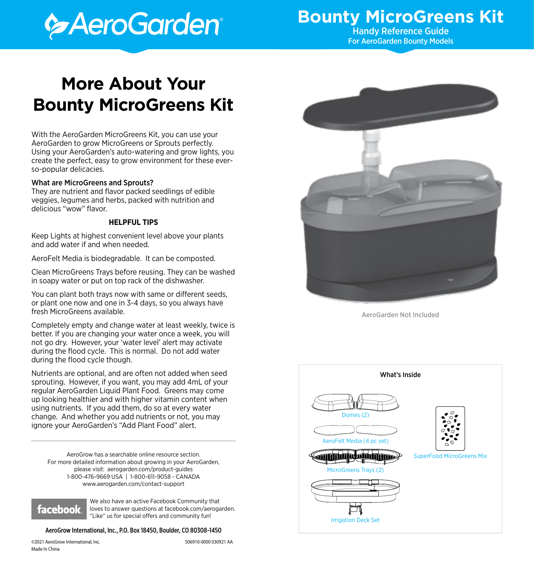# **Execution**

## **Bounty MicroGreens Kit**<br>Handy Reference Guide

For AeroGarden Bounty Models

## **More About Your Bounty MicroGreens Kit**

With the AeroGarden MicroGreens Kit, you can use your AeroGarden to grow MicroGreens or Sprouts perfectly. Using your AeroGarden's auto-watering and grow lights, you create the perfect, easy to grow environment for these everso-popular delicacies.

#### What are MicroGreens and Sprouts?

They are nutrient and flavor packed seedlings of edible veggies, legumes and herbs, packed with nutrition and delicious "wow" flavor.

#### **HELPFUL TIPS**

Keep Lights at highest convenient level above your plants and add water if and when needed.

AeroFelt Media is biodegradable. It can be composted.

Clean MicroGreens Trays before reusing. They can be washed in soapy water or put on top rack of the dishwasher.

You can plant both trays now with same or different seeds, or plant one now and one in 3-4 days, so you always have fresh MicroGreens available.

Completely empty and change water at least weekly, twice is better. If you are changing your water once a week, you will not go dry. However, your 'water level' alert may activate during the flood cycle. This is normal. Do not add water during the flood cycle though.

Nutrients are optional, and are often not added when seed sprouting. However, if you want, you may add 4mL of your regular AeroGarden Liquid Plant Food. Greens may come up looking healthier and with higher vitamin content when using nutrients. If you add them, do so at every water change. And whether you add nutrients or not, you may ignore your AeroGarden's "Add Plant Food" alert.

AeroGrow has a searchable online resource section. For more detailed information about growing in your AeroGarden, please visit: aerogarden.com/product-guides 1-800-476-9669 USA | 1-800-611-9058 - CANADA www.aerogarden.com/contact-support



We also have an active Facebook Community that loves to answer questions at facebook.com/aerogarden. "Like" us for special offers and community fun!

#### AeroGrow International, Inc., P.O. Box 18450, Boulder, CO 80308-1450

©2021 AeroGrow International, Inc. 506910-0000 030921 AA Made In China



AeroGarden Not Included